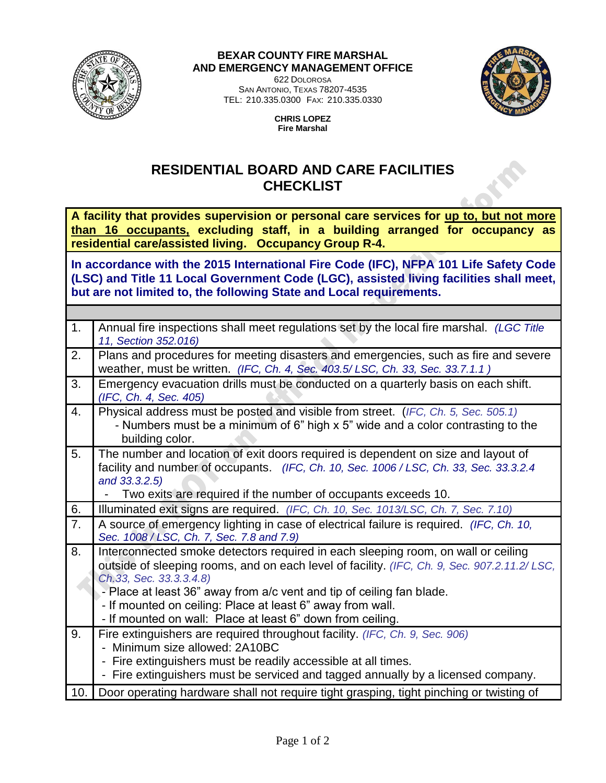

## **BEXAR COUNTY FIRE MARSHAL AND EMERGENCY MANAGEMENT OFFICE**

622 DOLOROSA SAN ANTONIO, TEXAS 78207-4535 TEL: 210.335.0300 FAX: 210.335.0330



**CHRIS LOPEZ Fire Marshal**

## **RESIDENTIAL BOARD AND CARE FACILITIES CHECKLIST**

**A facility that provides supervision or personal care services for up to, but not more than 16 occupants, excluding staff, in a building arranged for occupancy as residential care/assisted living. Occupancy Group R-4.**

**In accordance with the 2015 International Fire Code (IFC), NFPA 101 Life Safety Code (LSC) and Title 11 Local Government Code (LGC), assisted living facilities shall meet, but are not limited to, the following State and Local requirements.** 

| 1.  | Annual fire inspections shall meet regulations set by the local fire marshal. (LGC Title<br>11, Section 352.016)                                                                                                                                                                                                                                                                                                 |
|-----|------------------------------------------------------------------------------------------------------------------------------------------------------------------------------------------------------------------------------------------------------------------------------------------------------------------------------------------------------------------------------------------------------------------|
| 2.  | Plans and procedures for meeting disasters and emergencies, such as fire and severe<br>weather, must be written. (IFC, Ch. 4, Sec. 403.5/LSC, Ch. 33, Sec. 33.7.1.1)                                                                                                                                                                                                                                             |
| 3.  | Emergency evacuation drills must be conducted on a quarterly basis on each shift.<br>(IFC, Ch. 4, Sec. 405)                                                                                                                                                                                                                                                                                                      |
| 4.  | Physical address must be posted and visible from street. (IFC, Ch. 5, Sec. 505.1)<br>- Numbers must be a minimum of 6" high x 5" wide and a color contrasting to the<br>building color.                                                                                                                                                                                                                          |
| 5.  | The number and location of exit doors required is dependent on size and layout of<br>facility and number of occupants. (IFC, Ch. 10, Sec. 1006 / LSC, Ch. 33, Sec. 33.3.2.4<br>and 33.3.2.5)<br>Two exits are required if the number of occupants exceeds 10.                                                                                                                                                    |
| 6.  | Illuminated exit signs are required. (IFC, Ch. 10, Sec. 1013/LSC, Ch. 7, Sec. 7.10)                                                                                                                                                                                                                                                                                                                              |
| 7.  | A source of emergency lighting in case of electrical failure is required. (IFC, Ch. 10,<br>Sec. 1008 / LSC, Ch. 7, Sec. 7.8 and 7.9)                                                                                                                                                                                                                                                                             |
| 8.  | Interconnected smoke detectors required in each sleeping room, on wall or ceiling<br>outside of sleeping rooms, and on each level of facility. (IFC, Ch. 9, Sec. 907.2.11.2/LSC,<br>Ch.33, Sec. 33.3.3.4.8)<br>- Place at least 36" away from a/c vent and tip of ceiling fan blade.<br>- If mounted on ceiling: Place at least 6" away from wall.<br>- If mounted on wall: Place at least 6" down from ceiling. |
| 9.  | Fire extinguishers are required throughout facility. (IFC, Ch. 9, Sec. 906)<br>- Minimum size allowed: 2A10BC<br>- Fire extinguishers must be readily accessible at all times.<br>- Fire extinguishers must be serviced and tagged annually by a licensed company.                                                                                                                                               |
| 10. | Door operating hardware shall not require tight grasping, tight pinching or twisting of                                                                                                                                                                                                                                                                                                                          |